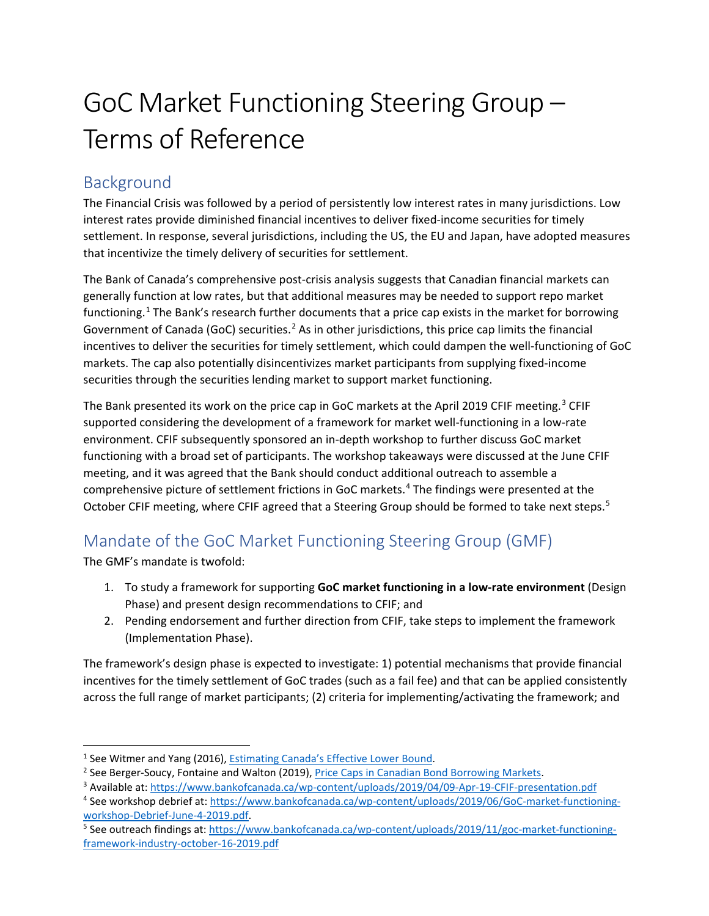## GoC Market Functioning Steering Group – Terms of Reference

## Background

The Financial Crisis was followed by a period of persistently low interest rates in many jurisdictions. Low interest rates provide diminished financial incentives to deliver fixed-income securities for timely settlement. In response, several jurisdictions, including the US, the EU and Japan, have adopted measures that incentivize the timely delivery of securities for settlement.

The Bank of Canada's comprehensive post-crisis analysis suggests that Canadian financial markets can generally function at low rates, but that additional measures may be needed to support repo market functioning.<sup>[1](#page-0-0)</sup> The Bank's research further documents that a price cap exists in the market for borrowing Government of Canada (GoC) securities.<sup>[2](#page-0-1)</sup> As in other jurisdictions, this price cap limits the financial incentives to deliver the securities for timely settlement, which could dampen the well-functioning of GoC markets. The cap also potentially disincentivizes market participants from supplying fixed-income securities through the securities lending market to support market functioning.

The Bank presented its work on the price cap in GoC markets at the April 2019 CFIF meeting.<sup>[3](#page-0-2)</sup> CFIF supported considering the development of a framework for market well-functioning in a low-rate environment. CFIF subsequently sponsored an in-depth workshop to further discuss GoC market functioning with a broad set of participants. The workshop takeaways were discussed at the June CFIF meeting, and it was agreed that the Bank should conduct additional outreach to assemble a comprehensive picture of settlement frictions in GoC markets.<sup>[4](#page-0-3)</sup> The findings were presented at the October CFIF meeting, where CFIF agreed that a Steering Group should be formed to take next steps.<sup>[5](#page-0-4)</sup>

## Mandate of the GoC Market Functioning Steering Group (GMF)

The GMF's mandate is twofold:

- 1. To study a framework for supporting **GoC market functioning in a low-rate environment** (Design Phase) and present design recommendations to CFIF; and
- 2. Pending endorsement and further direction from CFIF, take steps to implement the framework (Implementation Phase).

The framework's design phase is expected to investigate: 1) potential mechanisms that provide financial incentives for the timely settlement of GoC trades (such as a fail fee) and that can be applied consistently across the full range of market participants; (2) criteria for implementing/activating the framework; and

<span id="page-0-0"></span> <sup>1</sup> See Witmer and Yang (2016), [Estimating Canada's Effective Lower Bound.](https://www.bankofcanada.ca/wp-content/uploads/2016/05/boc-review-spring16-witmer.pdf)

<span id="page-0-1"></span><sup>&</sup>lt;sup>2</sup> See Berger-Soucy, Fontaine and Walton (2019), [Price Caps in Canadian Bond Borrowing Markets.](https://www.bankofcanada.ca/2019/01/staff-analytical-note-2019-2/)

<span id="page-0-2"></span><sup>3</sup> Available at:<https://www.bankofcanada.ca/wp-content/uploads/2019/04/09-Apr-19-CFIF-presentation.pdf>

<span id="page-0-3"></span><sup>4</sup> See workshop debrief at[: https://www.bankofcanada.ca/wp-content/uploads/2019/06/GoC-market-functioning](https://www.bankofcanada.ca/wp-content/uploads/2019/06/GoC-market-functioning-workshop-Debrief-June-4-2019.pdf)[workshop-Debrief-June-4-2019.pdf.](https://www.bankofcanada.ca/wp-content/uploads/2019/06/GoC-market-functioning-workshop-Debrief-June-4-2019.pdf)

<span id="page-0-4"></span><sup>5</sup> See outreach findings at[: https://www.bankofcanada.ca/wp-content/uploads/2019/11/goc-market-functioning](https://www.bankofcanada.ca/wp-content/uploads/2019/11/goc-market-functioning-framework-industry-october-16-2019.pdf)[framework-industry-october-16-2019.pdf](https://www.bankofcanada.ca/wp-content/uploads/2019/11/goc-market-functioning-framework-industry-october-16-2019.pdf)